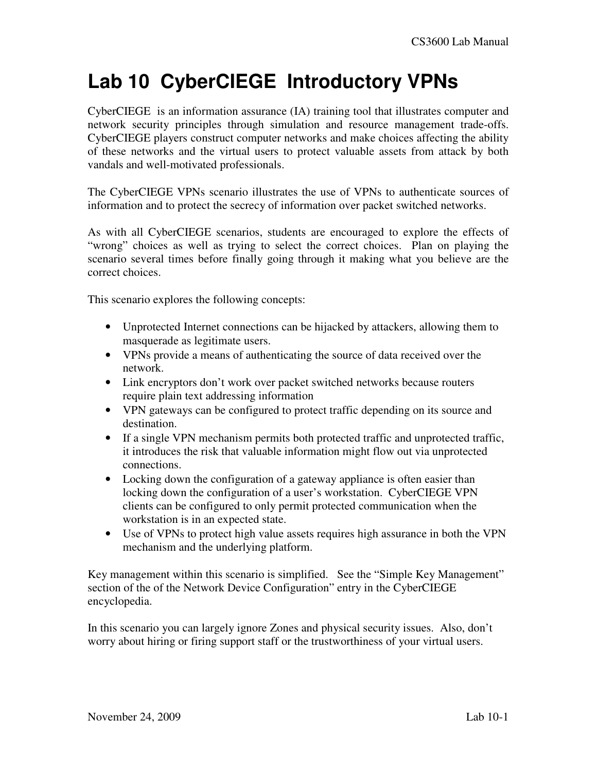# **Lab 10 CyberCIEGE Introductory VPNs**

CyberCIEGE is an information assurance (IA) training tool that illustrates computer and network security principles through simulation and resource management trade-offs. CyberCIEGE players construct computer networks and make choices affecting the ability of these networks and the virtual users to protect valuable assets from attack by both vandals and well-motivated professionals.

The CyberCIEGE VPNs scenario illustrates the use of VPNs to authenticate sources of information and to protect the secrecy of information over packet switched networks.

As with all CyberCIEGE scenarios, students are encouraged to explore the effects of "wrong" choices as well as trying to select the correct choices. Plan on playing the scenario several times before finally going through it making what you believe are the correct choices.

This scenario explores the following concepts:

- Unprotected Internet connections can be hijacked by attackers, allowing them to masquerade as legitimate users.
- VPNs provide a means of authenticating the source of data received over the network.
- Link encryptors don't work over packet switched networks because routers require plain text addressing information
- VPN gateways can be configured to protect traffic depending on its source and destination.
- If a single VPN mechanism permits both protected traffic and unprotected traffic, it introduces the risk that valuable information might flow out via unprotected connections.
- Locking down the configuration of a gateway appliance is often easier than locking down the configuration of a user's workstation. CyberCIEGE VPN clients can be configured to only permit protected communication when the workstation is in an expected state.
- Use of VPNs to protect high value assets requires high assurance in both the VPN mechanism and the underlying platform.

Key management within this scenario is simplified. See the "Simple Key Management" section of the of the Network Device Configuration" entry in the CyberCIEGE encyclopedia.

In this scenario you can largely ignore Zones and physical security issues. Also, don't worry about hiring or firing support staff or the trustworthiness of your virtual users.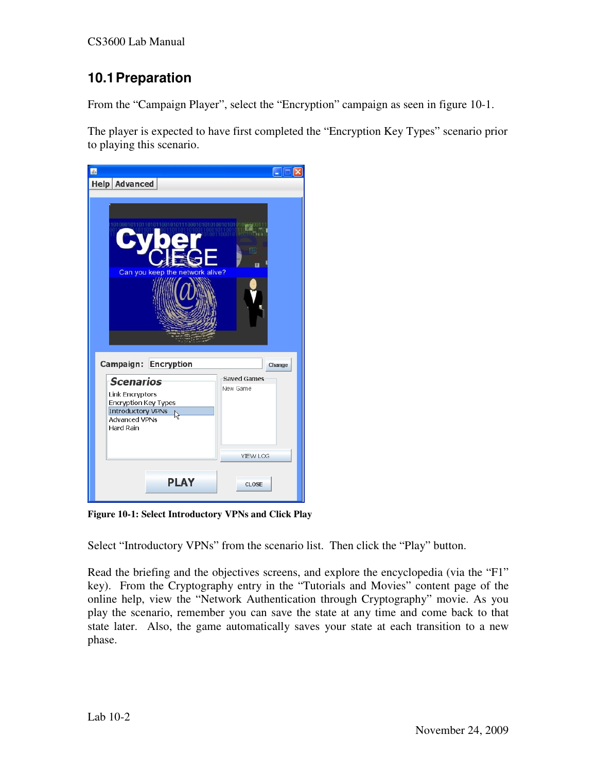## **10.1 Preparation**

From the "Campaign Player", select the "Encryption" campaign as seen in figure 10-1.

The player is expected to have first completed the "Encryption Key Types" scenario prior to playing this scenario.



**Figure 10-1: Select Introductory VPNs and Click Play** 

Select "Introductory VPNs" from the scenario list. Then click the "Play" button.

Read the briefing and the objectives screens, and explore the encyclopedia (via the "F1" key). From the Cryptography entry in the "Tutorials and Movies" content page of the online help, view the "Network Authentication through Cryptography" movie. As you play the scenario, remember you can save the state at any time and come back to that state later. Also, the game automatically saves your state at each transition to a new phase.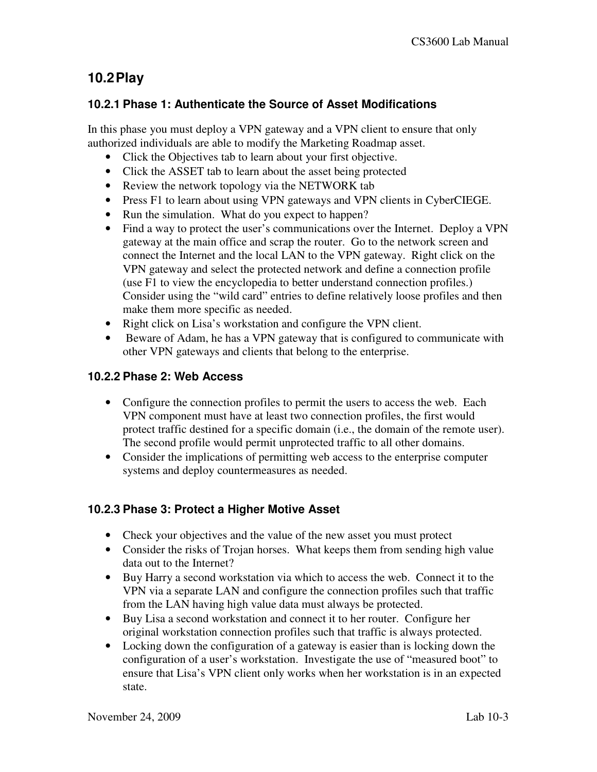### **10.2 Play**

#### **10.2.1 Phase 1: Authenticate the Source of Asset Modifications**

In this phase you must deploy a VPN gateway and a VPN client to ensure that only authorized individuals are able to modify the Marketing Roadmap asset.

- Click the Objectives tab to learn about your first objective.
- Click the ASSET tab to learn about the asset being protected
- Review the network topology via the NETWORK tab
- Press F1 to learn about using VPN gateways and VPN clients in CyberCIEGE.
- Run the simulation. What do you expect to happen?
- Find a way to protect the user's communications over the Internet. Deploy a VPN gateway at the main office and scrap the router. Go to the network screen and connect the Internet and the local LAN to the VPN gateway. Right click on the VPN gateway and select the protected network and define a connection profile (use F1 to view the encyclopedia to better understand connection profiles.) Consider using the "wild card" entries to define relatively loose profiles and then make them more specific as needed.
- Right click on Lisa's workstation and configure the VPN client.
- Beware of Adam, he has a VPN gateway that is configured to communicate with other VPN gateways and clients that belong to the enterprise.

#### **10.2.2 Phase 2: Web Access**

- Configure the connection profiles to permit the users to access the web. Each VPN component must have at least two connection profiles, the first would protect traffic destined for a specific domain (i.e., the domain of the remote user). The second profile would permit unprotected traffic to all other domains.
- Consider the implications of permitting web access to the enterprise computer systems and deploy countermeasures as needed.

#### **10.2.3 Phase 3: Protect a Higher Motive Asset**

- Check your objectives and the value of the new asset you must protect
- Consider the risks of Trojan horses. What keeps them from sending high value data out to the Internet?
- Buy Harry a second workstation via which to access the web. Connect it to the VPN via a separate LAN and configure the connection profiles such that traffic from the LAN having high value data must always be protected.
- Buy Lisa a second workstation and connect it to her router. Configure her original workstation connection profiles such that traffic is always protected.
- Locking down the configuration of a gateway is easier than is locking down the configuration of a user's workstation. Investigate the use of "measured boot" to ensure that Lisa's VPN client only works when her workstation is in an expected state.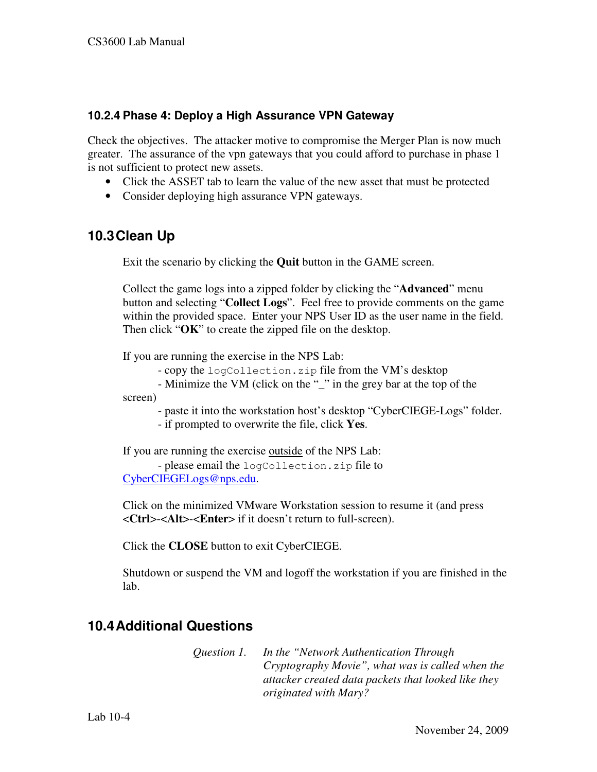#### **10.2.4 Phase 4: Deploy a High Assurance VPN Gateway**

Check the objectives. The attacker motive to compromise the Merger Plan is now much greater. The assurance of the vpn gateways that you could afford to purchase in phase 1 is not sufficient to protect new assets.

- Click the ASSET tab to learn the value of the new asset that must be protected
- Consider deploying high assurance VPN gateways.

### **10.3 Clean Up**

Exit the scenario by clicking the **Quit** button in the GAME screen.

Collect the game logs into a zipped folder by clicking the "**Advanced**" menu button and selecting "**Collect Logs**". Feel free to provide comments on the game within the provided space. Enter your NPS User ID as the user name in the field. Then click "**OK**" to create the zipped file on the desktop.

If you are running the exercise in the NPS Lab:

- copy the logCollection.zip file from the VM's desktop

 - Minimize the VM (click on the "\_" in the grey bar at the top of the screen)

 - paste it into the workstation host's desktop "CyberCIEGE-Logs" folder. - if prompted to overwrite the file, click **Yes**.

If you are running the exercise outside of the NPS Lab: - please email the logCollection.zip file to

CyberCIEGELogs@nps.edu.

Click on the minimized VMware Workstation session to resume it (and press <**Ctrl**>-<**Alt**>-<**Enter**> if it doesn't return to full-screen).

Click the **CLOSE** button to exit CyberCIEGE.

Shutdown or suspend the VM and logoff the workstation if you are finished in the lab.

## **10.4 Additional Questions**

*Question 1. In the "Network Authentication Through Cryptography Movie", what was is called when the attacker created data packets that looked like they originated with Mary?*